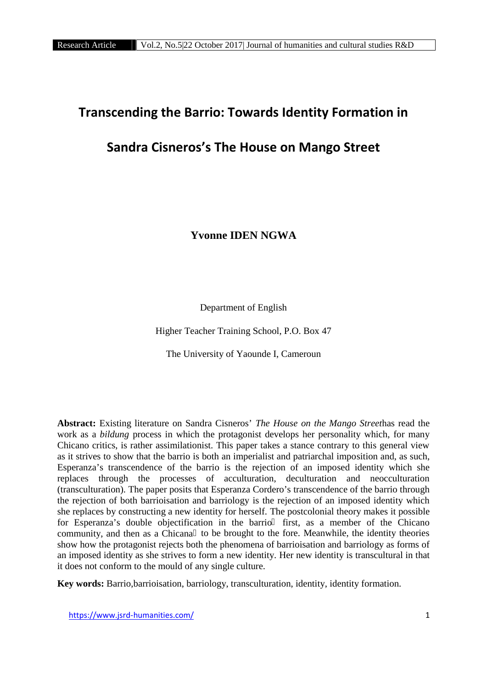# **Transcending the Barrio: Towards Identity Formation in**

# **Sandra Cisneros's The House on Mango Street**

**Yvonne IDEN NGWA**

Department of English

Higher Teacher Training School, P.O. Box 47

The University of Yaounde I, Cameroun

**Abstract:** Existing literature on Sandra Cisneros' *The House on the Mango Street*has read the work as a *bildung* process in which the protagonist develops her personality which, for many Chicano critics, is rather assimilationist. This paper takes a stance contrary to this general view as it strives to show that the barrio is both an imperialist and patriarchal imposition and, as such, Esperanza's transcendence of the barrio is the rejection of an imposed identity which she replaces through the processes of acculturation, deculturation and neocculturation (transculturation). The paper posits that Esperanza Cordero's transcendence of the barrio through the rejection of both barrioisation and barriology is the rejection of an imposed identity which she replaces by constructing a new identity for herself. The postcolonial theory makes it possible for Esperanza's double objectification in the barrio first, as a member of the Chicano community, and then as a Chicana to be brought to the fore. Meanwhile, the identity theories show how the protagonist rejects both the phenomena of barrioisation and barriology as forms of an imposed identity as she strives to form a new identity. Her new identity is transcultural in that it does not conform to the mould of any single culture.

**Key words:** Barrio,barrioisation, barriology, transculturation, identity, identity formation.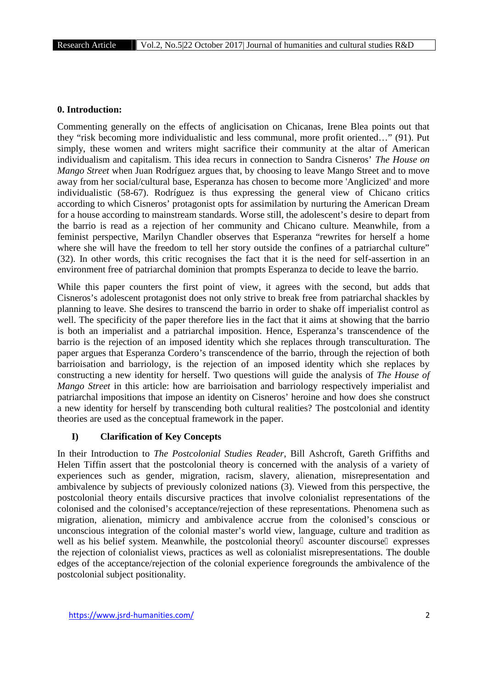### **0. Introduction:**

Commenting generally on the effects of anglicisation on Chicanas, Irene Blea points out that they "risk becoming more individualistic and less communal, more profit oriented…" (91). Put simply, these women and writers might sacrifice their community at the altar of American individualism and capitalism. This idea recurs in connection to Sandra Cisneros' *The House on Mango Street* when Juan Rodríguez argues that, by choosing to leave Mango Street and to move away from her social/cultural base, Esperanza has chosen to become more 'Anglicized' and more individualistic (58-67). Rodríguez is thus expressing the general view of Chicano critics according to which Cisneros' protagonist opts for assimilation by nurturing the American Dream for a house according to mainstream standards. Worse still, the adolescent's desire to depart from the barrio is read as a rejection of her community and Chicano culture. Meanwhile, from a feminist perspective, Marilyn Chandler observes that Esperanza "rewrites for herself a home where she will have the freedom to tell her story outside the confines of a patriarchal culture" (32). In other words, this critic recognises the fact that it is the need for self-assertion in an environment free of patriarchal dominion that prompts Esperanza to decide to leave the barrio.

While this paper counters the first point of view, it agrees with the second, but adds that Cisneros's adolescent protagonist does not only strive to break free from patriarchal shackles by planning to leave. She desires to transcend the barrio in order to shake off imperialist control as well. The specificity of the paper therefore lies in the fact that it aims at showing that the barrio is both an imperialist and a patriarchal imposition. Hence, Esperanza's transcendence of the barrio is the rejection of an imposed identity which she replaces through transculturation. The paper argues that Esperanza Cordero's transcendence of the barrio, through the rejection of both barrioisation and barriology, is the rejection of an imposed identity which she replaces by constructing a new identity for herself. Two questions will guide the analysis of *The House of Mango Street* in this article: how are barrioisation and barriology respectively imperialist and patriarchal impositions that impose an identity on Cisneros' heroine and how does she construct a new identity for herself by transcending both cultural realities? The postcolonial and identity theories are used as the conceptual framework in the paper.

## **I) Clarification of Key Concepts**

In their Introduction to *The Postcolonial Studies Reader*, Bill Ashcroft, Gareth Griffiths and Helen Tiffin assert that the postcolonial theory is concerned with the analysis of a variety of experiences such as gender, migration, racism, slavery, alienation, misrepresentation and ambivalence by subjects of previously colonized nations (3). Viewed from this perspective, the postcolonial theory entails discursive practices that involve colonialist representations of the colonised and the colonised's acceptance/rejection of these representations. Phenomena such as migration, alienation, mimicry and ambivalence accrue from the colonised's conscious or unconscious integration of the colonial master's world view, language, culture and tradition as well as his belief system. Meanwhile, the postcolonial theory ascounter discourse expresses the rejection of colonialist views, practices as well as colonialist misrepresentations. The double edges of the acceptance/rejection of the colonial experience foregrounds the ambivalence of the postcolonial subject positionality.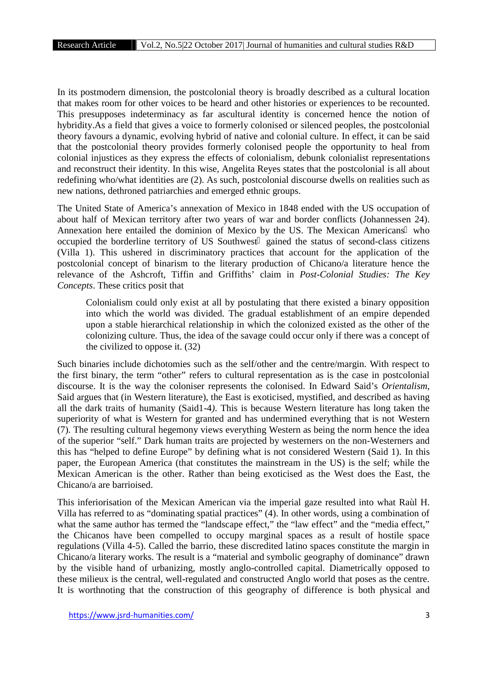In its postmodern dimension, the postcolonial theory is broadly described as a cultural location that makes room for other voices to be heard and other histories or experiences to be recounted. This presupposes indeterminacy as far ascultural identity is concerned hence the notion of hybridity.As a field that gives a voice to formerly colonised or silenced peoples, the postcolonial theory favours a dynamic, evolving hybrid of native and colonial culture. In effect, it can be said that the postcolonial theory provides formerly colonised people the opportunity to heal from colonial injustices as they express the effects of colonialism, debunk colonialist representations and reconstruct their identity. In this wise, Angelita Reyes states that the postcolonial is all about redefining who/what identities are (2). As such, postcolonial discourse dwells on realities such as new nations, dethroned patriarchies and emerged ethnic groups.

The United State of America's annexation of Mexico in 1848 ended with the US occupation of about half of Mexican territory after two years of war and border conflicts (Johannessen 24). Annexation here entailed the dominion of Mexico by the US. The Mexican Americans who occupied the borderline territory of US Southwest gained the status of second-class citizens (Villa 1). This ushered in discriminatory practices that account for the application of the postcolonial concept of binarism to the literary production of Chicano/a literature hence the relevance of the Ashcroft, Tiffin and Griffiths' claim in *Post-Colonial Studies: The Key Concepts*. These critics posit that

Colonialism could only exist at all by postulating that there existed a binary opposition into which the world was divided. The gradual establishment of an empire depended upon a stable hierarchical relationship in which the colonized existed as the other of the colonizing culture. Thus, the idea of the savage could occur only if there was a concept of the civilized to oppose it. (32)

Such binaries include dichotomies such as the self/other and the centre/margin. With respect to the first binary, the term "other" refers to cultural representation as is the case in postcolonial discourse. It is the way the coloniser represents the colonised. In Edward Said's *Orientalism*, Said argues that (in Western literature), the East is exoticised, mystified, and described as having all the dark traits of humanity (Said1-4*)*. This is because Western literature has long taken the superiority of what is Western for granted and has undermined everything that is not Western (7). The resulting cultural hegemony views everything Western as being the norm hence the idea of the superior "self." Dark human traits are projected by westerners on the non-Westerners and this has "helped to define Europe" by defining what is not considered Western (Said 1). In this paper, the European America (that constitutes the mainstream in the US) is the self; while the Mexican American is the other. Rather than being exoticised as the West does the East, the Chicano/a are barrioised.

This inferiorisation of the Mexican American via the imperial gaze resulted into what Raùl H. Villa has referred to as "dominating spatial practices" (4). In other words, using a combination of what the same author has termed the "landscape effect," the "law effect" and the "media effect," the Chicanos have been compelled to occupy marginal spaces as a result of hostile space regulations (Villa 4-5). Called the barrio, these discredited latino spaces constitute the margin in Chicano/a literary works. The result is a "material and symbolic geography of dominance" drawn by the visible hand of urbanizing, mostly anglo-controlled capital. Diametrically opposed to these milieux is the central, well-regulated and constructed Anglo world that poses as the centre. It is worthnoting that the construction of this geography of difference is both physical and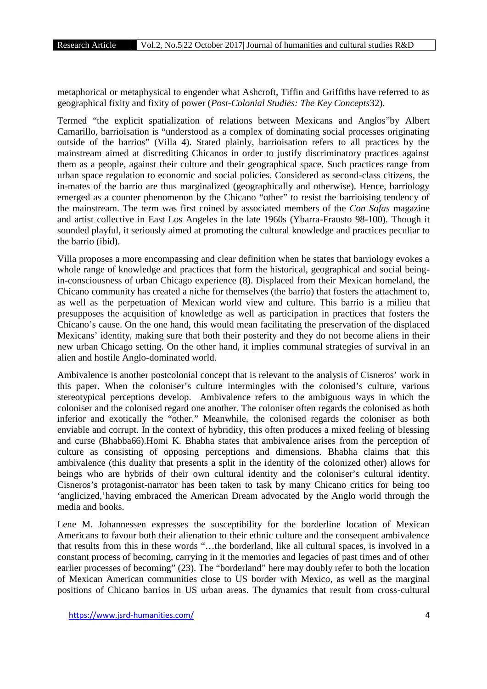metaphorical or metaphysical to engender what Ashcroft, Tiffin and Griffiths have referred to as geographical fixity and fixity of power (*Post-Colonial Studies: The Key Concepts*32).

Termed "the explicit spatialization of relations between Mexicans and Anglos"by Albert Camarillo, barrioisation is "understood as a complex of dominating social processes originating outside of the barrios" (Villa 4). Stated plainly, barrioisation refers to all practices by the mainstream aimed at discrediting Chicanos in order to justify discriminatory practices against them as a people, against their culture and their geographical space. Such practices range from urban space regulation to economic and social policies. Considered as second-class citizens, the in-mates of the barrio are thus marginalized (geographically and otherwise). Hence, barriology emerged as a counter phenomenon by the Chicano "other" to resist the barrioising tendency of the mainstream. The term was first coined by associated members of the *Con Sofas* magazine and artist collective in East Los Angeles in the late 1960s (Ybarra-Frausto 98-100). Though it sounded playful, it seriously aimed at promoting the cultural knowledge and practices peculiar to the barrio (ibid).

Villa proposes a more encompassing and clear definition when he states that barriology evokes a whole range of knowledge and practices that form the historical, geographical and social beingin-consciousness of urban Chicago experience (8). Displaced from their Mexican homeland, the Chicano community has created a niche for themselves (the barrio) that fosters the attachment to, as well as the perpetuation of Mexican world view and culture. This barrio is a milieu that presupposes the acquisition of knowledge as well as participation in practices that fosters the Chicano's cause. On the one hand, this would mean facilitating the preservation of the displaced Mexicans' identity, making sure that both their posterity and they do not become aliens in their new urban Chicago setting. On the other hand, it implies communal strategies of survival in an alien and hostile Anglo-dominated world.

Ambivalence is another postcolonial concept that is relevant to the analysis of Cisneros' work in this paper. When the coloniser's culture intermingles with the colonised's culture, various stereotypical perceptions develop. Ambivalence refers to the ambiguous ways in which the coloniser and the colonised regard one another. The coloniser often regards the colonised as both inferior and exotically the "other." Meanwhile, the colonised regards the coloniser as both enviable and corrupt. In the context of hybridity, this often produces a mixed feeling of blessing and curse (Bhabba66).Homi K. Bhabha states that ambivalence arises from the perception of culture as consisting of opposing perceptions and dimensions. Bhabha claims that this ambivalence (this duality that presents a split in the identity of the colonized other) allows for beings who are hybrids of their own cultural identity and the coloniser's cultural identity. Cisneros's protagonist-narrator has been taken to task by many Chicano critics for being too 'anglicized,'having embraced the American Dream advocated by the Anglo world through the media and books.

Lene M. Johannessen expresses the susceptibility for the borderline location of Mexican Americans to favour both their alienation to their ethnic culture and the consequent ambivalence that results from this in these words "…the borderland, like all cultural spaces, is involved in a constant process of becoming, carrying in it the memories and legacies of past times and of other earlier processes of becoming" (23). The "borderland" here may doubly refer to both the location of Mexican American communities close to US border with Mexico, as well as the marginal positions of Chicano barrios in US urban areas. The dynamics that result from cross-cultural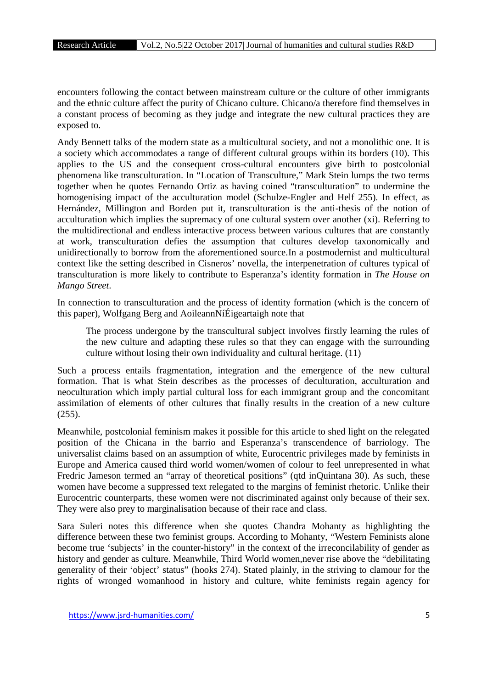encounters following the contact between mainstream culture or the culture of other immigrants and the ethnic culture affect the purity of Chicano culture. Chicano/a therefore find themselves in a constant process of becoming as they judge and integrate the new cultural practices they are exposed to.

Andy Bennett talks of the modern state as a multicultural society, and not a monolithic one. It is a society which accommodates a range of different cultural groups within its borders (10). This applies to the US and the consequent cross-cultural encounters give birth to postcolonial phenomena like transculturation. In "Location of Transculture," Mark Stein lumps the two terms together when he quotes Fernando Ortiz as having coined "transculturation" to undermine the homogenising impact of the acculturation model (Schulze-Engler and Helf 255). In effect, as Hernández, Millington and Borden put it, transculturation is the anti-thesis of the notion of acculturation which implies the supremacy of one cultural system over another (xi). Referring to the multidirectional and endless interactive process between various cultures that are constantly at work, transculturation defies the assumption that cultures develop taxonomically and unidirectionally to borrow from the aforementioned source.In a postmodernist and multicultural context like the setting described in Cisneros' novella, the interpenetration of cultures typical of transculturation is more likely to contribute to Esperanza's identity formation in *The House on Mango Street*.

In connection to transculturation and the process of identity formation (which is the concern of this paper), Wolfgang Berg and AoileannNíÉigeartaigh note that

The process undergone by the transcultural subject involves firstly learning the rules of the new culture and adapting these rules so that they can engage with the surrounding culture without losing their own individuality and cultural heritage. (11)

Such a process entails fragmentation, integration and the emergence of the new cultural formation. That is what Stein describes as the processes of deculturation, acculturation and neoculturation which imply partial cultural loss for each immigrant group and the concomitant assimilation of elements of other cultures that finally results in the creation of a new culture (255).

Meanwhile, postcolonial feminism makes it possible for this article to shed light on the relegated position of the Chicana in the barrio and Esperanza's transcendence of barriology. The universalist claims based on an assumption of white, Eurocentric privileges made by feminists in Europe and America caused third world women/women of colour to feel unrepresented in what Fredric Jameson termed an "array of theoretical positions" (qtd inQuintana 30). As such, these women have become a suppressed text relegated to the margins of feminist rhetoric. Unlike their Eurocentric counterparts, these women were not discriminated against only because of their sex. They were also prey to marginalisation because of their race and class.

Sara Suleri notes this difference when she quotes Chandra Mohanty as highlighting the difference between these two feminist groups. According to Mohanty, "Western Feminists alone become true 'subjects' in the counter-history" in the context of the irreconcilability of gender as history and gender as culture. Meanwhile, Third World women,never rise above the "debilitating generality of their 'object' status" (hooks 274). Stated plainly, in the striving to clamour for the rights of wronged womanhood in history and culture, white feminists regain agency for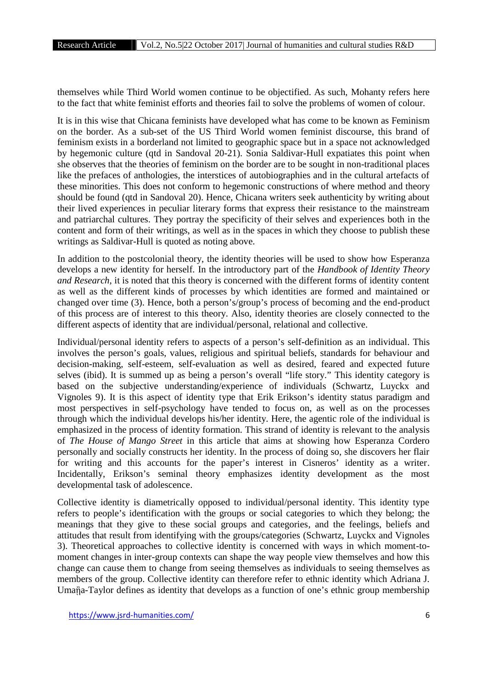themselves while Third World women continue to be objectified. As such, Mohanty refers here to the fact that white feminist efforts and theories fail to solve the problems of women of colour.

It is in this wise that Chicana feminists have developed what has come to be known as Feminism on the border. As a sub-set of the US Third World women feminist discourse, this brand of feminism exists in a borderland not limited to geographic space but in a space not acknowledged by hegemonic culture (qtd in Sandoval 20-21). Sonia Saldivar-Hull expatiates this point when she observes that the theories of feminism on the border are to be sought in non-traditional places like the prefaces of anthologies, the interstices of autobiographies and in the cultural artefacts of these minorities. This does not conform to hegemonic constructions of where method and theory should be found (qtd in Sandoval 20). Hence, Chicana writers seek authenticity by writing about their lived experiences in peculiar literary forms that express their resistance to the mainstream and patriarchal cultures. They portray the specificity of their selves and experiences both in the content and form of their writings, as well as in the spaces in which they choose to publish these writings as Saldivar-Hull is quoted as noting above.

In addition to the postcolonial theory, the identity theories will be used to show how Esperanza develops a new identity for herself. In the introductory part of the *Handbook of Identity Theory and Research*, it is noted that this theory is concerned with the different forms of identity content as well as the different kinds of processes by which identities are formed and maintained or changed over time (3). Hence, both a person's/group's process of becoming and the end-product of this process are of interest to this theory. Also, identity theories are closely connected to the different aspects of identity that are individual/personal, relational and collective.

Individual/personal identity refers to aspects of a person's self-definition as an individual. This involves the person's goals, values, religious and spiritual beliefs, standards for behaviour and decision-making, self-esteem, self-evaluation as well as desired, feared and expected future selves (ibid). It is summed up as being a person's overall "life story." This identity category is based on the subjective understanding/experience of individuals (Schwartz, Luyckx and Vignoles 9). It is this aspect of identity type that Erik Erikson's identity status paradigm and most perspectives in self-psychology have tended to focus on, as well as on the processes through which the individual develops his/her identity. Here, the agentic role of the individual is emphasized in the process of identity formation. This strand of identity is relevant to the analysis of *The House of Mango Street* in this article that aims at showing how Esperanza Cordero personally and socially constructs her identity. In the process of doing so, she discovers her flair for writing and this accounts for the paper's interest in Cisneros' identity as a writer. Incidentally, Erikson's seminal theory emphasizes identity development as the most developmental task of adolescence.

Collective identity is diametrically opposed to individual/personal identity. This identity type refers to people's identification with the groups or social categories to which they belong; the meanings that they give to these social groups and categories, and the feelings, beliefs and attitudes that result from identifying with the groups/categories (Schwartz, Luyckx and Vignoles 3). Theoretical approaches to collective identity is concerned with ways in which moment-to moment changes in inter-group contexts can shape the way people view themselves and how this change can cause them to change from seeing themselves as individuals to seeing themselves as members of the group. Collective identity can therefore refer to ethnic identity which Adriana J. Umaña-Taylor defines as identity that develops as a function of one's ethnic group membership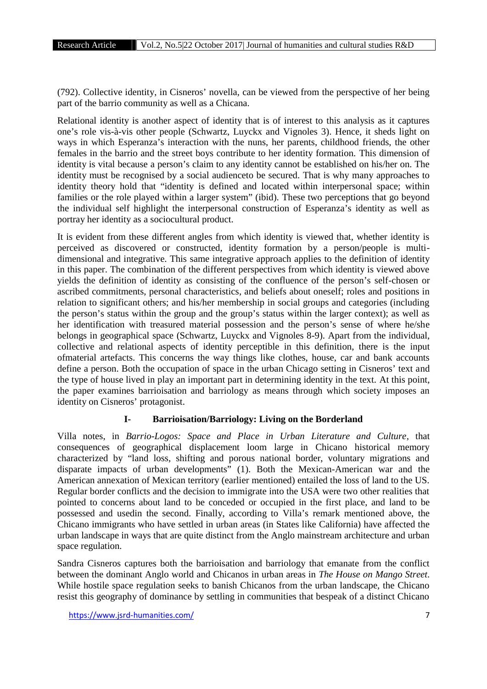(792). Collective identity, in Cisneros' novella, can be viewed from the perspective of her being part of the barrio community as well as a Chicana.

Relational identity is another aspect of identity that is of interest to this analysis as it captures one's role vis-à-vis other people (Schwartz, Luyckx and Vignoles 3). Hence, it sheds light on ways in which Esperanza's interaction with the nuns, her parents, childhood friends, the other females in the barrio and the street boys contribute to her identity formation. This dimension of identity is vital because a person's claim to any identity cannot be established on his/her on. The identity must be recognised by a social audienceto be secured. That is why many approaches to identity theory hold that "identity is defined and located within interpersonal space; within families or the role played within a larger system" (ibid). These two perceptions that go beyond the individual self highlight the interpersonal construction of Esperanza's identity as well as portray her identity as a sociocultural product.

It is evident from these different angles from which identity is viewed that, whether identity is perceived as discovered or constructed, identity formation by a person/people is multi dimensional and integrative. This same integrative approach applies to the definition of identity in this paper. The combination of the different perspectives from which identity is viewed above yields the definition of identity as consisting of the confluence of the person's self-chosen or ascribed commitments, personal characteristics, and beliefs about oneself; roles and positions in relation to significant others; and his/her membership in social groups and categories (including the person's status within the group and the group's status within the larger context); as well as her identification with treasured material possession and the person's sense of where he/she belongs in geographical space (Schwartz, Luyckx and Vignoles 8-9). Apart from the individual, collective and relational aspects of identity perceptible in this definition, there is the input ofmaterial artefacts. This concerns the way things like clothes, house, car and bank accounts define a person. Both the occupation of space in the urban Chicago setting in Cisneros' text and the type of house lived in play an important part in determining identity in the text. At this point, the paper examines barrioisation and barriology as means through which society imposes an identity on Cisneros' protagonist.

# **I- Barrioisation/Barriology: Living on the Borderland**

Villa notes, in *Barrio-Logos: Space and Place in Urban Literature and Culture,* that consequences of geographical displacement loom large in Chicano historical memory characterized by "land loss, shifting and porous national border, voluntary migrations and disparate impacts of urban developments" (1). Both the Mexican-American war and the American annexation of Mexican territory (earlier mentioned) entailed the loss of land to the US. Regular border conflicts and the decision to immigrate into the USA were two other realities that pointed to concerns about land to be conceded or occupied in the first place, and land to be possessed and usedin the second. Finally, according to Villa's remark mentioned above, the Chicano immigrants who have settled in urban areas (in States like California) have affected the urban landscape in ways that are quite distinct from the Anglo mainstream architecture and urban space regulation.

Sandra Cisneros captures both the barrioisation and barriology that emanate from the conflict between the dominant Anglo world and Chicanos in urban areas in *The House on Mango Street*. While hostile space regulation seeks to banish Chicanos from the urban landscape, the Chicano resist this geography of dominance by settling in communities that bespeak of a distinct Chicano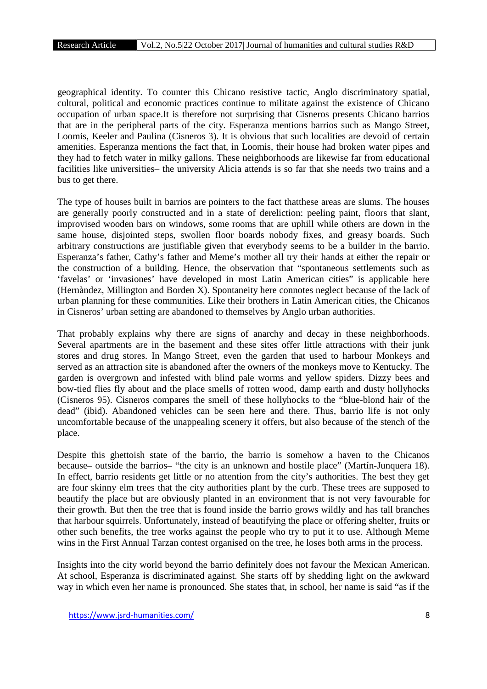geographical identity. To counter this Chicano resistive tactic, Anglo discriminatory spatial, cultural, political and economic practices continue to militate against the existence of Chicano occupation of urban space.It is therefore not surprising that Cisneros presents Chicano barrios that are in the peripheral parts of the city. Esperanza mentions barrios such as Mango Street, Loomis, Keeler and Paulina (Cisneros 3). It is obvious that such localities are devoid of certain amenities. Esperanza mentions the fact that, in Loomis, their house had broken water pipes and they had to fetch water in milky gallons. These neighborhoods are likewise far from educational facilities like universities– the university Alicia attends is so far that she needs two trains and a bus to get there.

The type of houses built in barrios are pointers to the fact thatthese areas are slums. The houses are generally poorly constructed and in a state of dereliction: peeling paint, floors that slant, improvised wooden bars on windows, some rooms that are uphill while others are down in the same house, disjointed steps, swollen floor boards nobody fixes, and greasy boards. Such arbitrary constructions are justifiable given that everybody seems to be a builder in the barrio. Esperanza's father, Cathy's father and Meme's mother all try their hands at either the repair or the construction of a building. Hence, the observation that "spontaneous settlements such as 'favelas' or 'invasiones' have developed in most Latin American cities" is applicable here (Hernàndez, Millington and Borden X). Spontaneity here connotes neglect because of the lack of urban planning for these communities. Like their brothers in Latin American cities, the Chicanos in Cisneros' urban setting are abandoned to themselves by Anglo urban authorities.

That probably explains why there are signs of anarchy and decay in these neighborhoods. Several apartments are in the basement and these sites offer little attractions with their junk stores and drug stores. In Mango Street, even the garden that used to harbour Monkeys and served as an attraction site is abandoned after the owners of the monkeys move to Kentucky. The garden is overgrown and infested with blind pale worms and yellow spiders. Dizzy bees and bow-tied flies fly about and the place smells of rotten wood, damp earth and dusty hollyhocks (Cisneros 95). Cisneros compares the smell of these hollyhocks to the "blue-blond hair of the dead" (ibid). Abandoned vehicles can be seen here and there. Thus, barrio life is not only uncomfortable because of the unappealing scenery it offers, but also because of the stench of the place.

Despite this ghettoish state of the barrio, the barrio is somehow a haven to the Chicanos because– outside the barrios– "the city is an unknown and hostile place" (Martín-Junquera 18). In effect, barrio residents get little or no attention from the city's authorities. The best they get are four skinny elm trees that the city authorities plant by the curb. These trees are supposed to beautify the place but are obviously planted in an environment that is not very favourable for their growth. But then the tree that is found inside the barrio grows wildly and has tall branches that harbour squirrels. Unfortunately, instead of beautifying the place or offering shelter, fruits or other such benefits, the tree works against the people who try to put it to use. Although Meme wins in the First Annual Tarzan contest organised on the tree, he loses both arms in the process.

Insights into the city world beyond the barrio definitely does not favour the Mexican American. At school, Esperanza is discriminated against. She starts off by shedding light on the awkward way in which even her name is pronounced. She states that, in school, her name is said "as if the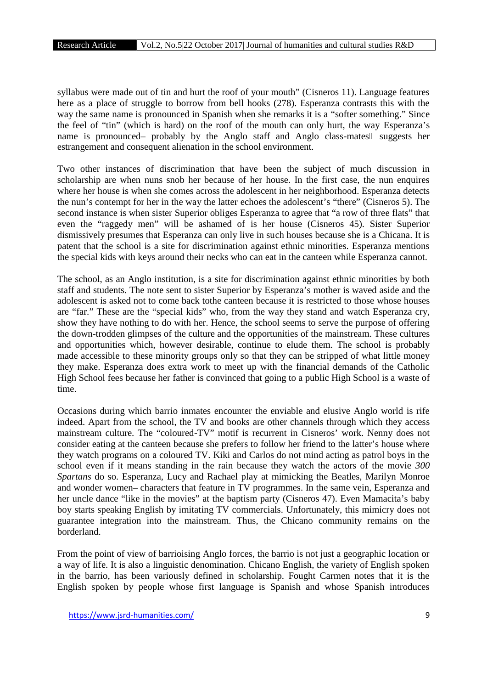syllabus were made out of tin and hurt the roof of your mouth" (Cisneros 11). Language features here as a place of struggle to borrow from bell hooks (278). Esperanza contrasts this with the way the same name is pronounced in Spanish when she remarks it is a "softer something." Since the feel of "tin" (which is hard) on the roof of the mouth can only hurt, the way Esperanza's name is pronounced– probably by the Anglo staff and Anglo class-mates suggests her estrangement and consequent alienation in the school environment.

Two other instances of discrimination that have been the subject of much discussion in scholarship are when nuns snob her because of her house. In the first case, the nun enquires where her house is when she comes across the adolescent in her neighborhood. Esperanza detects the nun's contempt for her in the way the latter echoes the adolescent's "there" (Cisneros 5). The second instance is when sister Superior obliges Esperanza to agree that "a row of three flats" that even the "raggedy men" will be ashamed of is her house (Cisneros 45). Sister Superior dismissively presumes that Esperanza can only live in such houses because she is a Chicana. It is patent that the school is a site for discrimination against ethnic minorities. Esperanza mentions the special kids with keys around their necks who can eat in the canteen while Esperanza cannot.

The school, as an Anglo institution, is a site for discrimination against ethnic minorities by both staff and students. The note sent to sister Superior by Esperanza's mother is waved aside and the adolescent is asked not to come back tothe canteen because it is restricted to those whose houses are "far." These are the "special kids" who, from the way they stand and watch Esperanza cry, show they have nothing to do with her. Hence, the school seems to serve the purpose of offering the down-trodden glimpses of the culture and the opportunities of the mainstream. These cultures and opportunities which, however desirable, continue to elude them. The school is probably made accessible to these minority groups only so that they can be stripped of what little money they make. Esperanza does extra work to meet up with the financial demands of the Catholic High School fees because her father is convinced that going to a public High School is a waste of time.

Occasions during which barrio inmates encounter the enviable and elusive Anglo world is rife indeed. Apart from the school, the TV and books are other channels through which they access mainstream culture. The "coloured-TV" motif is recurrent in Cisneros' work. Nenny does not consider eating at the canteen because she prefers to follow her friend to the latter's house where they watch programs on a coloured TV. Kiki and Carlos do not mind acting as patrol boys in the school even if it means standing in the rain because they watch the actors of the movie *300 Spartans* do so. Esperanza, Lucy and Rachael play at mimicking the Beatles, Marilyn Monroe and wonder women– characters that feature in TV programmes. In the same vein, Esperanza and her uncle dance "like in the movies" at the baptism party (Cisneros 47). Even Mamacita's baby boy starts speaking English by imitating TV commercials. Unfortunately, this mimicry does not guarantee integration into the mainstream. Thus, the Chicano community remains on the borderland.

From the point of view of barrioising Anglo forces, the barrio is not just a geographic location or a way of life. It is also a linguistic denomination. Chicano English, the variety of English spoken in the barrio, has been variously defined in scholarship. Fought Carmen notes that it is the English spoken by people whose first language is Spanish and whose Spanish introduces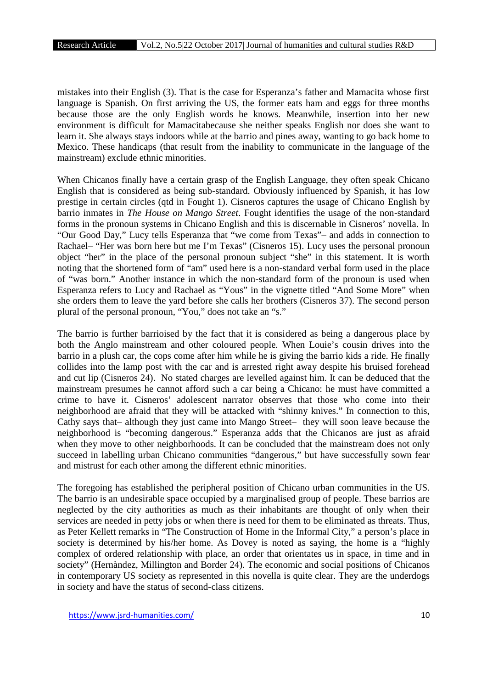mistakes into their English (3). That is the case for Esperanza's father and Mamacita whose first language is Spanish. On first arriving the US, the former eats ham and eggs for three months because those are the only English words he knows. Meanwhile, insertion into her new environment is difficult for Mamacitabecause she neither speaks English nor does she want to learn it. She always stays indoors while at the barrio and pines away, wanting to go back home to Mexico. These handicaps (that result from the inability to communicate in the language of the mainstream) exclude ethnic minorities.

When Chicanos finally have a certain grasp of the English Language, they often speak Chicano English that is considered as being sub-standard. Obviously influenced by Spanish, it has low prestige in certain circles (qtd in Fought 1). Cisneros captures the usage of Chicano English by barrio inmates in *The House on Mango Street*. Fought identifies the usage of the non-standard forms in the pronoun systems in Chicano English and this is discernable in Cisneros' novella. In "Our Good Day," Lucy tells Esperanza that "we come from Texas"– and adds in connection to Rachael– "Her was born here but me I'm Texas" (Cisneros 15). Lucy uses the personal pronoun object "her" in the place of the personal pronoun subject "she" in this statement. It is worth noting that the shortened form of "am" used here is a non-standard verbal form used in the place of "was born." Another instance in which the non-standard form of the pronoun is used when Esperanza refers to Lucy and Rachael as "Yous" in the vignette titled "And Some More" when she orders them to leave the yard before she calls her brothers (Cisneros 37). The second person plural of the personal pronoun, "You," does not take an "s."

The barrio is further barrioised by the fact that it is considered as being a dangerous place by both the Anglo mainstream and other coloured people. When Louie's cousin drives into the barrio in a plush car, the cops come after him while he is giving the barrio kids a ride. He finally collides into the lamp post with the car and is arrested right away despite his bruised forehead and cut lip (Cisneros 24). No stated charges are levelled against him. It can be deduced that the mainstream presumes he cannot afford such a car being a Chicano: he must have committed a crime to have it. Cisneros' adolescent narrator observes that those who come into their neighborhood are afraid that they will be attacked with "shinny knives." In connection to this, Cathy says that– although they just came into Mango Street– they will soon leave because the neighborhood is "becoming dangerous." Esperanza adds that the Chicanos are just as afraid when they move to other neighborhoods. It can be concluded that the mainstream does not only succeed in labelling urban Chicano communities "dangerous," but have successfully sown fear and mistrust for each other among the different ethnic minorities.

The foregoing has established the peripheral position of Chicano urban communities in the US. The barrio is an undesirable space occupied by a marginalised group of people. These barrios are neglected by the city authorities as much as their inhabitants are thought of only when their services are needed in petty jobs or when there is need for them to be eliminated as threats. Thus, as Peter Kellett remarks in "The Construction of Home in the Informal City," a person's place in society is determined by his/her home. As Dovey is noted as saying, the home is a "highly complex of ordered relationship with place, an order that orientates us in space, in time and in society" (Hernàndez, Millington and Border 24). The economic and social positions of Chicanos in contemporary US society as represented in this novella is quite clear. They are the underdogs in society and have the status of second-class citizens.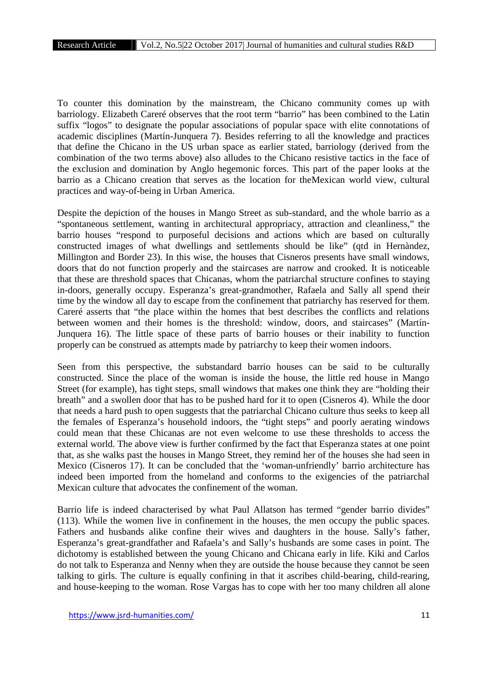To counter this domination by the mainstream, the Chicano community comes up with barriology. Elizabeth Careré observes that the root term "barrio" has been combined to the Latin suffix "logos" to designate the popular associations of popular space with elite connotations of academic disciplines (Martín-Junquera 7). Besides referring to all the knowledge and practices that define the Chicano in the US urban space as earlier stated, barriology (derived from the combination of the two terms above) also alludes to the Chicano resistive tactics in the face of the exclusion and domination by Anglo hegemonic forces. This part of the paper looks at the barrio as a Chicano creation that serves as the location for theMexican world view, cultural practices and way-of-being in Urban America.

Despite the depiction of the houses in Mango Street as sub-standard, and the whole barrio as a "spontaneous settlement, wanting in architectural appropriacy, attraction and cleanliness," the barrio houses "respond to purposeful decisions and actions which are based on culturally constructed images of what dwellings and settlements should be like" (qtd in Hernàndez, Millington and Border 23). In this wise, the houses that Cisneros presents have small windows, doors that do not function properly and the staircases are narrow and crooked. It is noticeable that these are threshold spaces that Chicanas, whom the patriarchal structure confines to staying in-doors, generally occupy. Esperanza's great-grandmother, Rafaela and Sally all spend their time by the window all day to escape from the confinement that patriarchy has reserved for them. Careré asserts that "the place within the homes that best describes the conflicts and relations between women and their homes is the threshold: window, doors, and staircases" (Martín- Junquera 16). The little space of these parts of barrio houses or their inability to function properly can be construed as attempts made by patriarchy to keep their women indoors.

Seen from this perspective, the substandard barrio houses can be said to be culturally constructed. Since the place of the woman is inside the house, the little red house in Mango Street (for example), has tight steps, small windows that makes one think they are "holding their breath" and a swollen door that has to be pushed hard for it to open (Cisneros 4). While the door that needs a hard push to open suggests that the patriarchal Chicano culture thus seeks to keep all the females of Esperanza's household indoors, the "tight steps" and poorly aerating windows could mean that these Chicanas are not even welcome to use these thresholds to access the external world. The above view is further confirmed by the fact that Esperanza states at one point that, as she walks past the houses in Mango Street, they remind her of the houses she had seen in Mexico (Cisneros 17). It can be concluded that the 'woman-unfriendly' barrio architecture has indeed been imported from the homeland and conforms to the exigencies of the patriarchal Mexican culture that advocates the confinement of the woman.

Barrio life is indeed characterised by what Paul Allatson has termed "gender barrio divides" (113). While the women live in confinement in the houses, the men occupy the public spaces. Fathers and husbands alike confine their wives and daughters in the house. Sally's father, Esperanza's great-grandfather and Rafaela's and Sally's husbands are some cases in point. The dichotomy is established between the young Chicano and Chicana early in life. Kiki and Carlos do not talk to Esperanza and Nenny when they are outside the house because they cannot be seen talking to girls. The culture is equally confining in that it ascribes child-bearing, child-rearing, and house-keeping to the woman. Rose Vargas has to cope with her too many children all alone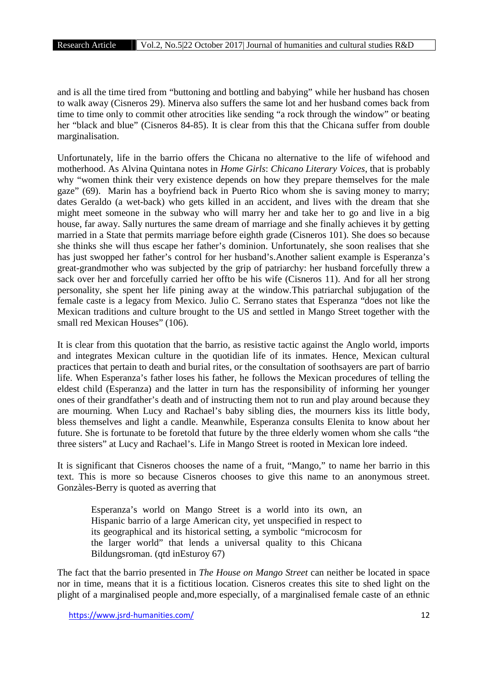and is all the time tired from "buttoning and bottling and babying" while her husband has chosen to walk away (Cisneros 29). Minerva also suffers the same lot and her husband comes back from time to time only to commit other atrocities like sending "a rock through the window" or beating her "black and blue" (Cisneros 84-85). It is clear from this that the Chicana suffer from double marginalisation.

Unfortunately, life in the barrio offers the Chicana no alternative to the life of wifehood and motherhood. As Alvina Quintana notes in *Home Girls*: *Chicano Literary Voices*, that is probably why "women think their very existence depends on how they prepare themselves for the male gaze" (69). Marin has a boyfriend back in Puerto Rico whom she is saving money to marry; dates Geraldo (a wet-back) who gets killed in an accident, and lives with the dream that she might meet someone in the subway who will marry her and take her to go and live in a big house, far away. Sally nurtures the same dream of marriage and she finally achieves it by getting married in a State that permits marriage before eighth grade (Cisneros 101). She does so because she thinks she will thus escape her father's dominion. Unfortunately, she soon realises that she has just swopped her father's control for her husband's.Another salient example is Esperanza's great-grandmother who was subjected by the grip of patriarchy: her husband forcefully threw a sack over her and forcefully carried her offto be his wife (Cisneros 11). And for all her strong personality, she spent her life pining away at the window.This patriarchal subjugation of the female caste is a legacy from Mexico. Julio C. Serrano states that Esperanza "does not like the Mexican traditions and culture brought to the US and settled in Mango Street together with the small red Mexican Houses" (106).

It is clear from this quotation that the barrio, as resistive tactic against the Anglo world, imports and integrates Mexican culture in the quotidian life of its inmates. Hence, Mexican cultural practices that pertain to death and burial rites, or the consultation of soothsayers are part of barrio life. When Esperanza's father loses his father, he follows the Mexican procedures of telling the eldest child (Esperanza) and the latter in turn has the responsibility of informing her younger ones of their grandfather's death and of instructing them not to run and play around because they are mourning. When Lucy and Rachael's baby sibling dies, the mourners kiss its little body, bless themselves and light a candle. Meanwhile, Esperanza consults Elenita to know about her future. She is fortunate to be foretold that future by the three elderly women whom she calls "the three sisters" at Lucy and Rachael's. Life in Mango Street is rooted in Mexican lore indeed.

It is significant that Cisneros chooses the name of a fruit, "Mango," to name her barrio in this text. This is more so because Cisneros chooses to give this name to an anonymous street. Gonzàles-Berry is quoted as averring that

Esperanza's world on Mango Street is a world into its own, an Hispanic barrio of a large American city, yet unspecified in respect to its geographical and its historical setting, a symbolic "microcosm for the larger world" that lends a universal quality to this Chicana Bildungsroman. (qtd inEsturoy 67)

The fact that the barrio presented in *The House on Mango Street* can neither be located in space nor in time, means that it is a fictitious location. Cisneros creates this site to shed light on the plight of a marginalised people and,more especially, of a marginalised female caste of an ethnic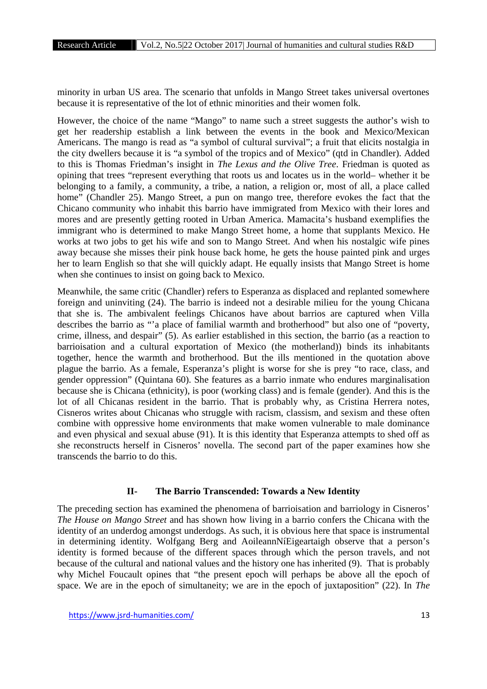minority in urban US area. The scenario that unfolds in Mango Street takes universal overtones because it is representative of the lot of ethnic minorities and their women folk.

However, the choice of the name "Mango" to name such a street suggests the author's wish to get her readership establish a link between the events in the book and Mexico/Mexican Americans. The mango is read as "a symbol of cultural survival"; a fruit that elicits nostalgia in the city dwellers because it is "a symbol of the tropics and of Mexico" (qtd in Chandler). Added to this is Thomas Friedman's insight in *The Lexus and the Olive Tree*. Friedman is quoted as opining that trees "represent everything that roots us and locates us in the world– whether it be belonging to a family, a community, a tribe, a nation, a religion or, most of all, a place called home" (Chandler 25). Mango Street, a pun on mango tree, therefore evokes the fact that the Chicano community who inhabit this barrio have immigrated from Mexico with their lores and mores and are presently getting rooted in Urban America. Mamacita's husband exemplifies the immigrant who is determined to make Mango Street home, a home that supplants Mexico. He works at two jobs to get his wife and son to Mango Street. And when his nostalgic wife pines away because she misses their pink house back home, he gets the house painted pink and urges her to learn English so that she will quickly adapt. He equally insists that Mango Street is home when she continues to insist on going back to Mexico.

Meanwhile, the same critic (Chandler) refers to Esperanza as displaced and replanted somewhere foreign and uninviting (24). The barrio is indeed not a desirable milieu for the young Chicana that she is. The ambivalent feelings Chicanos have about barrios are captured when Villa describes the barrio as "'a place of familial warmth and brotherhood" but also one of "poverty, crime, illness, and despair" (5). As earlier established in this section, the barrio (as a reaction to barrioisation and a cultural exportation of Mexico (the motherland)) binds its inhabitants together, hence the warmth and brotherhood. But the ills mentioned in the quotation above plague the barrio. As a female, Esperanza's plight is worse for she is prey "to race, class, and gender oppression" (Quintana 60). She features as a barrio inmate who endures marginalisation because she is Chicana (ethnicity), is poor (working class) and is female (gender). And this is the lot of all Chicanas resident in the barrio. That is probably why, as Cristina Herrera notes, Cisneros writes about Chicanas who struggle with racism, classism, and sexism and these often combine with oppressive home environments that make women vulnerable to male dominance and even physical and sexual abuse (91). It is this identity that Esperanza attempts to shed off as she reconstructs herself in Cisneros' novella. The second part of the paper examines how she transcends the barrio to do this.

#### **II- The Barrio Transcended: Towards a New Identity**

The preceding section has examined the phenomena of barrioisation and barriology in Cisneros' *The House on Mango Street* and has shown how living in a barrio confers the Chicana with the identity of an underdog amongst underdogs. As such, it is obvious here that space is instrumental in determining identity. Wolfgang Berg and AoileannNíEigeartaigh observe that a person's identity is formed because of the different spaces through which the person travels, and not because of the cultural and national values and the history one has inherited (9). That is probably why Michel Foucault opines that "the present epoch will perhaps be above all the epoch of space. We are in the epoch of simultaneity; we are in the epoch of juxtaposition" (22). In *The*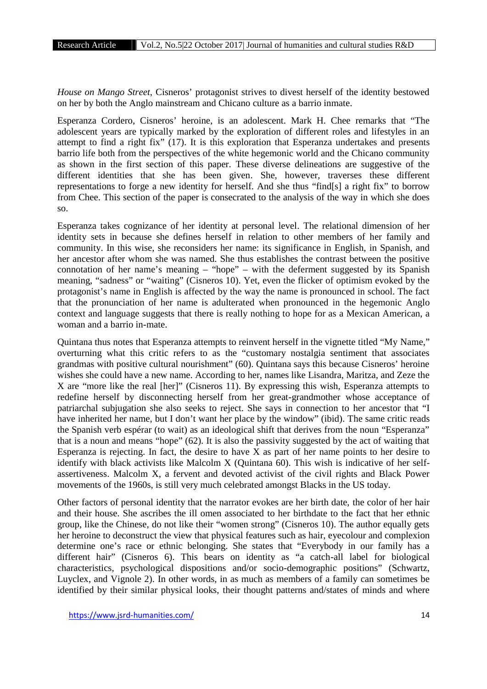*House on Mango Street*, Cisneros' protagonist strives to divest herself of the identity bestowed on her by both the Anglo mainstream and Chicano culture as a barrio inmate.

Esperanza Cordero, Cisneros' heroine, is an adolescent. Mark H. Chee remarks that "The adolescent years are typically marked by the exploration of different roles and lifestyles in an attempt to find a right fix" (17). It is this exploration that Esperanza undertakes and presents barrio life both from the perspectives of the white hegemonic world and the Chicano community as shown in the first section of this paper. These diverse delineations are suggestive of the different identities that she has been given. She, however, traverses these different representations to forge a new identity for herself. And she thus "find[s] a right fix" to borrow from Chee. This section of the paper is consecrated to the analysis of the way in which she does so.

Esperanza takes cognizance of her identity at personal level. The relational dimension of her identity sets in because she defines herself in relation to other members of her family and community. In this wise, she reconsiders her name: its significance in English, in Spanish, and her ancestor after whom she was named. She thus establishes the contrast between the positive connotation of her name's meaning – "hope" – with the deferment suggested by its Spanish meaning, "sadness" or "waiting" (Cisneros 10). Yet, even the flicker of optimism evoked by the protagonist's name in English is affected by the way the name is pronounced in school. The fact that the pronunciation of her name is adulterated when pronounced in the hegemonic Anglo context and language suggests that there is really nothing to hope for as a Mexican American, a woman and a barrio in-mate.

Quintana thus notes that Esperanza attempts to reinvent herself in the vignette titled "My Name," overturning what this critic refers to as the "customary nostalgia sentiment that associates grandmas with positive cultural nourishment" (60). Quintana says this because Cisneros' heroine wishes she could have a new name. According to her, names like Lisandra, Maritza, and Zeze the X are "more like the real [her]" (Cisneros 11). By expressing this wish, Esperanza attempts to redefine herself by disconnecting herself from her great-grandmother whose acceptance of patriarchal subjugation she also seeks to reject. She says in connection to her ancestor that "I have inherited her name, but I don't want her place by the window" (ibid). The same critic reads the Spanish verb espérar (to wait) as an ideological shift that derives from the noun "Esperanza" that is a noun and means "hope" (62). It is also the passivity suggested by the act of waiting that Esperanza is rejecting. In fact, the desire to have X as part of her name points to her desire to identify with black activists like Malcolm X (Quintana 60). This wish is indicative of her self assertiveness. Malcolm X, a fervent and devoted activist of the civil rights and Black Power movements of the 1960s, is still very much celebrated amongst Blacks in the US today.

Other factors of personal identity that the narrator evokes are her birth date, the color of her hair and their house. She ascribes the ill omen associated to her birthdate to the fact that her ethnic group, like the Chinese, do not like their "women strong" (Cisneros 10). The author equally gets her heroine to deconstruct the view that physical features such as hair, eyecolour and complexion determine one's race or ethnic belonging. She states that "Everybody in our family has a different hair" (Cisneros 6). This bears on identity as "a catch-all label for biological characteristics, psychological dispositions and/or socio-demographic positions" (Schwartz, Luyclex, and Vignole 2). In other words, in as much as members of a family can sometimes be identified by their similar physical looks, their thought patterns and/states of minds and where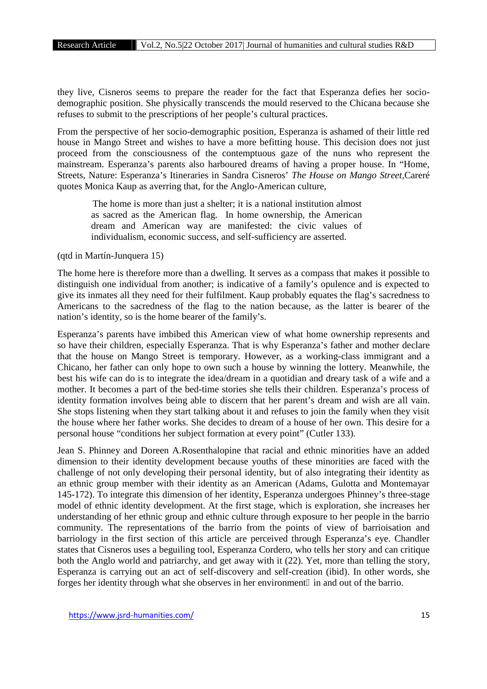they live, Cisneros seems to prepare the reader for the fact that Esperanza defies her socio demographic position. She physically transcends the mould reserved to the Chicana because she refuses to submit to the prescriptions of her people's cultural practices.

From the perspective of her socio-demographic position, Esperanza is ashamed of their little red house in Mango Street and wishes to have a more befitting house. This decision does not just proceed from the consciousness of the contemptuous gaze of the nuns who represent the mainstream. Esperanza's parents also harboured dreams of having a proper house. In "Home, Streets, Nature: Esperanza's Itineraries in Sandra Cisneros' *The House on Mango Street*,Careré quotes Monica Kaup as averring that, for the Anglo-American culture,

The home is more than just a shelter; it is a national institution almost as sacred as the American flag. In home ownership, the American dream and American way are manifested: the civic values of individualism, economic success, and self-sufficiency are asserted.

(qtd in Martín-Junquera 15)

The home here is therefore more than a dwelling. It serves as a compass that makes it possible to distinguish one individual from another; is indicative of a family's opulence and is expected to give its inmates all they need for their fulfilment. Kaup probably equates the flag's sacredness to Americans to the sacredness of the flag to the nation because, as the latter is bearer of the nation's identity, so is the home bearer of the family's.

Esperanza's parents have imbibed this American view of what home ownership represents and so have their children, especially Esperanza. That is why Esperanza's father and mother declare that the house on Mango Street is temporary. However, as a working-class immigrant and a Chicano, her father can only hope to own such a house by winning the lottery. Meanwhile, the best his wife can do is to integrate the idea/dream in a quotidian and dreary task of a wife and a mother. It becomes a part of the bed-time stories she tells their children. Esperanza's process of identity formation involves being able to discern that her parent's dream and wish are all vain. She stops listening when they start talking about it and refuses to join the family when they visit the house where her father works. She decides to dream of a house of her own. This desire for a personal house "conditions her subject formation at every point" (Cutler 133).

Jean S. Phinney and Doreen A.Rosenthalopine that racial and ethnic minorities have an added dimension to their identity development because youths of these minorities are faced with the challenge of not only developing their personal identity, but of also integrating their identity as an ethnic group member with their identity as an American (Adams, Gulotta and Montemayar 145-172). To integrate this dimension of her identity, Esperanza undergoes Phinney's three-stage model of ethnic identity development. At the first stage, which is exploration, she increases her understanding of her ethnic group and ethnic culture through exposure to her people in the barrio community. The representations of the barrio from the points of view of barrioisation and barriology in the first section of this article are perceived through Esperanza's eye. Chandler states that Cisneros uses a beguiling tool, Esperanza Cordero, who tells her story and can critique both the Anglo world and patriarchy, and get away with it (22). Yet, more than telling the story, Esperanza is carrying out an act of self-discovery and self-creation (ibid). In other words, she forges her identity through what she observes in her environment in and out of the barrio.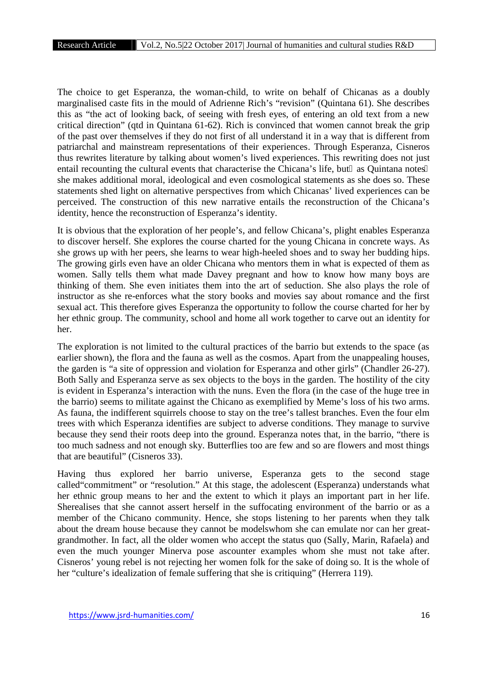The choice to get Esperanza, the woman-child, to write on behalf of Chicanas as a doubly marginalised caste fits in the mould of Adrienne Rich's "revision" (Quintana 61). She describes this as "the act of looking back, of seeing with fresh eyes, of entering an old text from a new critical direction" (qtd in Quintana 61-62). Rich is convinced that women cannot break the grip of the past over themselves if they do not first of all understand it in a way that is different from patriarchal and mainstream representations of their experiences. Through Esperanza, Cisneros thus rewrites literature by talking about women's lived experiences. This rewriting does not just entail recounting the cultural events that characterise the Chicana's life, but as Quintana notes she makes additional moral, ideological and even cosmological statements as she does so. These statements shed light on alternative perspectives from which Chicanas' lived experiences can be perceived. The construction of this new narrative entails the reconstruction of the Chicana's identity, hence the reconstruction of Esperanza's identity.

It is obvious that the exploration of her people's, and fellow Chicana's, plight enables Esperanza to discover herself. She explores the course charted for the young Chicana in concrete ways. As she grows up with her peers, she learns to wear high-heeled shoes and to sway her budding hips. The growing girls even have an older Chicana who mentors them in what is expected of them as women. Sally tells them what made Davey pregnant and how to know how many boys are thinking of them. She even initiates them into the art of seduction. She also plays the role of instructor as she re-enforces what the story books and movies say about romance and the first sexual act. This therefore gives Esperanza the opportunity to follow the course charted for her by her ethnic group. The community, school and home all work together to carve out an identity for her.

The exploration is not limited to the cultural practices of the barrio but extends to the space (as earlier shown), the flora and the fauna as well as the cosmos. Apart from the unappealing houses, the garden is "a site of oppression and violation for Esperanza and other girls" (Chandler 26-27). Both Sally and Esperanza serve as sex objects to the boys in the garden. The hostility of the city is evident in Esperanza's interaction with the nuns. Even the flora (in the case of the huge tree in the barrio) seems to militate against the Chicano as exemplified by Meme's loss of his two arms. As fauna, the indifferent squirrels choose to stay on the tree's tallest branches. Even the four elm trees with which Esperanza identifies are subject to adverse conditions. They manage to survive because they send their roots deep into the ground. Esperanza notes that, in the barrio, "there is too much sadness and not enough sky. Butterflies too are few and so are flowers and most things that are beautiful" (Cisneros 33).

Having thus explored her barrio universe, Esperanza gets to the second stage called"commitment" or "resolution." At this stage, the adolescent (Esperanza) understands what her ethnic group means to her and the extent to which it plays an important part in her life. Sherealises that she cannot assert herself in the suffocating environment of the barrio or as a member of the Chicano community. Hence, she stops listening to her parents when they talk about the dream house because they cannot be modelswhom she can emulate nor can her great grandmother. In fact, all the older women who accept the status quo (Sally, Marin, Rafaela) and even the much younger Minerva pose ascounter examples whom she must not take after. Cisneros' young rebel is not rejecting her women folk for the sake of doing so. It is the whole of her "culture's idealization of female suffering that she is critiquing" (Herrera 119).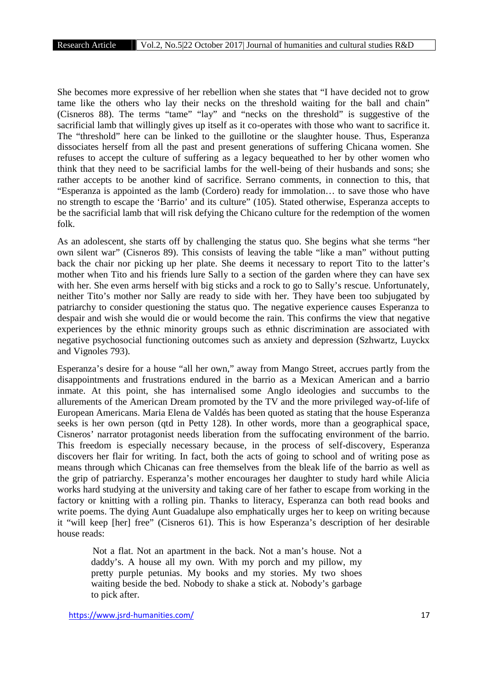She becomes more expressive of her rebellion when she states that "I have decided not to grow tame like the others who lay their necks on the threshold waiting for the ball and chain" (Cisneros 88). The terms "tame" "lay" and "necks on the threshold" is suggestive of the sacrificial lamb that willingly gives up itself as it co-operates with those who want to sacrifice it. The "threshold" here can be linked to the guillotine or the slaughter house. Thus, Esperanza dissociates herself from all the past and present generations of suffering Chicana women. She refuses to accept the culture of suffering as a legacy bequeathed to her by other women who think that they need to be sacrificial lambs for the well-being of their husbands and sons; she rather accepts to be another kind of sacrifice. Serrano comments, in connection to this, that "Esperanza is appointed as the lamb (Cordero) ready for immolation… to save those who have no strength to escape the 'Barrio' and its culture" (105). Stated otherwise, Esperanza accepts to be the sacrificial lamb that will risk defying the Chicano culture for the redemption of the women folk.

As an adolescent, she starts off by challenging the status quo. She begins what she terms "her own silent war" (Cisneros 89). This consists of leaving the table "like a man" without putting back the chair nor picking up her plate. She deems it necessary to report Tito to the latter's mother when Tito and his friends lure Sally to a section of the garden where they can have sex with her. She even arms herself with big sticks and a rock to go to Sally's rescue. Unfortunately, neither Tito's mother nor Sally are ready to side with her. They have been too subjugated by patriarchy to consider questioning the status quo. The negative experience causes Esperanza to despair and wish she would die or would become the rain. This confirms the view that negative experiences by the ethnic minority groups such as ethnic discrimination are associated with negative psychosocial functioning outcomes such as anxiety and depression (Szhwartz, Luyckx and Vignoles 793).

Esperanza's desire for a house "all her own," away from Mango Street, accrues partly from the disappointments and frustrations endured in the barrio as a Mexican American and a barrio inmate. At this point, she has internalised some Anglo ideologies and succumbs to the allurements of the American Dream promoted by the TV and the more privileged way-of-life of European Americans. Maria Elena de Valdés has been quoted as stating that the house Esperanza seeks is her own person (qtd in Petty 128). In other words, more than a geographical space, Cisneros' narrator protagonist needs liberation from the suffocating environment of the barrio. This freedom is especially necessary because, in the process of self-discovery, Esperanza discovers her flair for writing. In fact, both the acts of going to school and of writing pose as means through which Chicanas can free themselves from the bleak life of the barrio as well as the grip of patriarchy. Esperanza's mother encourages her daughter to study hard while Alicia works hard studying at the university and taking care of her father to escape from working in the factory or knitting with a rolling pin. Thanks to literacy, Esperanza can both read books and write poems. The dying Aunt Guadalupe also emphatically urges her to keep on writing because it "will keep [her] free" (Cisneros 61). This is how Esperanza's description of her desirable house reads:

Not a flat. Not an apartment in the back. Not a man's house. Not a daddy's. A house all my own. With my porch and my pillow, my pretty purple petunias. My books and my stories. My two shoes waiting beside the bed. Nobody to shake a stick at. Nobody's garbage to pick after.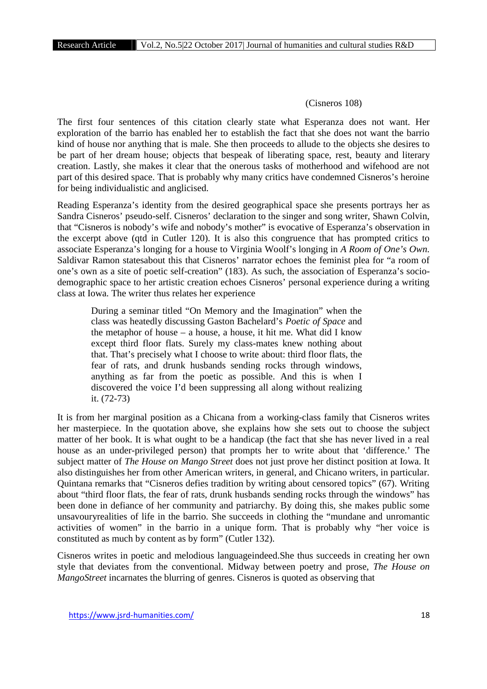## (Cisneros 108)

The first four sentences of this citation clearly state what Esperanza does not want. Her exploration of the barrio has enabled her to establish the fact that she does not want the barrio kind of house nor anything that is male. She then proceeds to allude to the objects she desires to be part of her dream house; objects that bespeak of liberating space, rest, beauty and literary creation. Lastly, she makes it clear that the onerous tasks of motherhood and wifehood are not part of this desired space. That is probably why many critics have condemned Cisneros's heroine for being individualistic and anglicised.

Reading Esperanza's identity from the desired geographical space she presents portrays her as Sandra Cisneros' pseudo-self. Cisneros' declaration to the singer and song writer, Shawn Colvin, that "Cisneros is nobody's wife and nobody's mother" is evocative of Esperanza's observation in the excerpt above (qtd in Cutler 120). It is also this congruence that has prompted critics to associate Esperanza's longing for a house to Virginia Woolf's longing in *A Room of One's Own.* Saldivar Ramon statesabout this that Cisneros' narrator echoes the feminist plea for "a room of one's own as a site of poetic self-creation" (183). As such, the association of Esperanza's socio demographic space to her artistic creation echoes Cisneros' personal experience during a writing class at Iowa. The writer thus relates her experience

During a seminar titled "On Memory and the Imagination" when the class was heatedly discussing Gaston Bachelard's *Poetic of Space* and the metaphor of house – a house, a house, it hit me. What did I know except third floor flats. Surely my class-mates knew nothing about that. That's precisely what I choose to write about: third floor flats, the fear of rats, and drunk husbands sending rocks through windows, anything as far from the poetic as possible. And this is when I discovered the voice I'd been suppressing all along without realizing it. (72-73)

It is from her marginal position as a Chicana from a working-class family that Cisneros writes her masterpiece. In the quotation above, she explains how she sets out to choose the subject matter of her book. It is what ought to be a handicap (the fact that she has never lived in a real house as an under-privileged person) that prompts her to write about that 'difference.' The subject matter of *The House on Mango Street* does not just prove her distinct position at Iowa. It also distinguishes her from other American writers, in general, and Chicano writers, in particular. Quintana remarks that "Cisneros defies tradition by writing about censored topics" (67). Writing about "third floor flats, the fear of rats, drunk husbands sending rocks through the windows" has been done in defiance of her community and patriarchy. By doing this, she makes public some unsavouryrealities of life in the barrio. She succeeds in clothing the "mundane and unromantic activities of women" in the barrio in a unique form. That is probably why "her voice is constituted as much by content as by form" (Cutler 132).

Cisneros writes in poetic and melodious languageindeed.She thus succeeds in creating her own style that deviates from the conventional. Midway between poetry and prose, *The House on MangoStreet* incarnates the blurring of genres. Cisneros is quoted as observing that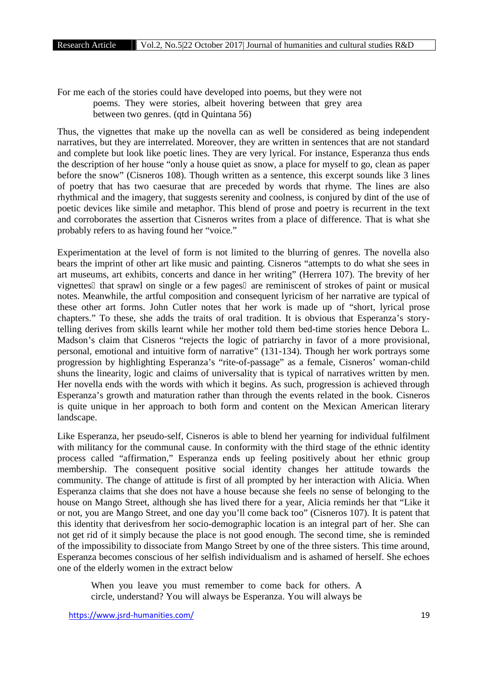For me each of the stories could have developed into poems, but they were not poems. They were stories, albeit hovering between that grey area between two genres. (qtd in Quintana 56)

Thus, the vignettes that make up the novella can as well be considered as being independent narratives, but they are interrelated. Moreover, they are written in sentences that are not standard and complete but look like poetic lines. They are very lyrical. For instance, Esperanza thus ends the description of her house "only a house quiet as snow, a place for myself to go, clean as paper before the snow" (Cisneros 108). Though written as a sentence, this excerpt sounds like 3 lines of poetry that has two caesurae that are preceded by words that rhyme. The lines are also rhythmical and the imagery, that suggests serenity and coolness, is conjured by dint of the use of poetic devices like simile and metaphor. This blend of prose and poetry is recurrent in the text and corroborates the assertion that Cisneros writes from a place of difference. That is what she probably refers to as having found her "voice."

Experimentation at the level of form is not limited to the blurring of genres. The novella also bears the imprint of other art like music and painting. Cisneros "attempts to do what she sees in art museums, art exhibits, concerts and dance in her writing" (Herrera 107). The brevity of her vignettes that sprawl on single or a few pages are reminiscent of strokes of paint or musical notes. Meanwhile, the artful composition and consequent lyricism of her narrative are typical of these other art forms. John Cutler notes that her work is made up of "short, lyrical prose chapters." To these, she adds the traits of oral tradition. It is obvious that Esperanza's storytelling derives from skills learnt while her mother told them bed-time stories hence Debora L. Madson's claim that Cisneros "rejects the logic of patriarchy in favor of a more provisional, personal, emotional and intuitive form of narrative" (131-134). Though her work portrays some progression by highlighting Esperanza's "rite-of-passage" as a female, Cisneros' woman-child shuns the linearity, logic and claims of universality that is typical of narratives written by men. Her novella ends with the words with which it begins. As such, progression is achieved through Esperanza's growth and maturation rather than through the events related in the book. Cisneros is quite unique in her approach to both form and content on the Mexican American literary landscape.

Like Esperanza, her pseudo-self, Cisneros is able to blend her yearning for individual fulfilment with militancy for the communal cause. In conformity with the third stage of the ethnic identity process called "affirmation," Esperanza ends up feeling positively about her ethnic group membership. The consequent positive social identity changes her attitude towards the community. The change of attitude is first of all prompted by her interaction with Alicia. When Esperanza claims that she does not have a house because she feels no sense of belonging to the house on Mango Street, although she has lived there for a year, Alicia reminds her that "Like it or not, you are Mango Street, and one day you'll come back too" (Cisneros 107). It is patent that this identity that derivesfrom her socio-demographic location is an integral part of her. She can not get rid of it simply because the place is not good enough. The second time, she is reminded of the impossibility to dissociate from Mango Street by one of the three sisters. This time around, Esperanza becomes conscious of her selfish individualism and is ashamed of herself. She echoes one of the elderly women in the extract below

When you leave you must remember to come back for others. A circle, understand? You will always be Esperanza. You will always be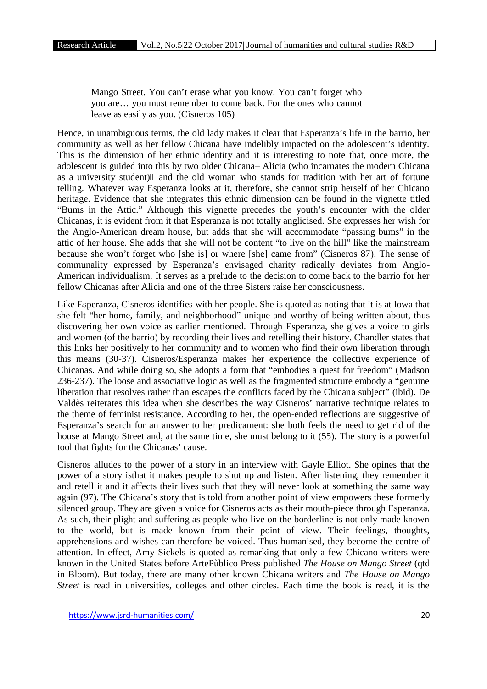Mango Street. You can't erase what you know. You can't forget who you are… you must remember to come back. For the ones who cannot leave as easily as you. (Cisneros 105)

Hence, in unambiguous terms, the old lady makes it clear that Esperanza's life in the barrio, her community as well as her fellow Chicana have indelibly impacted on the adolescent's identity. This is the dimension of her ethnic identity and it is interesting to note that, once more, the adolescent is guided into this by two older Chicana– Alicia (who incarnates the modern Chicana as a university student) and the old woman who stands for tradition with her art of fortune telling. Whatever way Esperanza looks at it, therefore, she cannot strip herself of her Chicano heritage. Evidence that she integrates this ethnic dimension can be found in the vignette titled "Bums in the Attic." Although this vignette precedes the youth's encounter with the older Chicanas, it is evident from it that Esperanza is not totally anglicised. She expresses her wish for the Anglo-American dream house, but adds that she will accommodate "passing bums" in the attic of her house. She adds that she will not be content "to live on the hill" like the mainstream because she won't forget who [she is] or where [she] came from" (Cisneros 87). The sense of communality expressed by Esperanza's envisaged charity radically deviates from Anglo- American individualism. It serves as a prelude to the decision to come back to the barrio for her fellow Chicanas after Alicia and one of the three Sisters raise her consciousness.

Like Esperanza, Cisneros identifies with her people. She is quoted as noting that it is at Iowa that she felt "her home, family, and neighborhood" unique and worthy of being written about, thus discovering her own voice as earlier mentioned. Through Esperanza, she gives a voice to girls and women (of the barrio) by recording their lives and retelling their history. Chandler states that this links her positively to her community and to women who find their own liberation through this means (30-37). Cisneros/Esperanza makes her experience the collective experience of Chicanas. And while doing so, she adopts a form that "embodies a quest for freedom" (Madson 236-237). The loose and associative logic as well as the fragmented structure embody a "genuine liberation that resolves rather than escapes the conflicts faced by the Chicana subject" (ibid). De Valdès reiterates this idea when she describes the way Cisneros' narrative technique relates to the theme of feminist resistance. According to her, the open-ended reflections are suggestive of Esperanza's search for an answer to her predicament: she both feels the need to get rid of the house at Mango Street and, at the same time, she must belong to it (55). The story is a powerful tool that fights for the Chicanas' cause.

Cisneros alludes to the power of a story in an interview with Gayle Elliot. She opines that the power of a story isthat it makes people to shut up and listen. After listening, they remember it and retell it and it affects their lives such that they will never look at something the same way again (97). The Chicana's story that is told from another point of view empowers these formerly silenced group. They are given a voice for Cisneros acts as their mouth-piece through Esperanza. As such, their plight and suffering as people who live on the borderline is not only made known to the world, but is made known from their point of view. Their feelings, thoughts, apprehensions and wishes can therefore be voiced. Thus humanised, they become the centre of attention. In effect, Amy Sickels is quoted as remarking that only a few Chicano writers were known in the United States before ArtePùblico Press published *The House on Mango Street* (qtd in Bloom). But today, there are many other known Chicana writers and *The House on Mango Street* is read in universities, colleges and other circles. Each time the book is read, it is the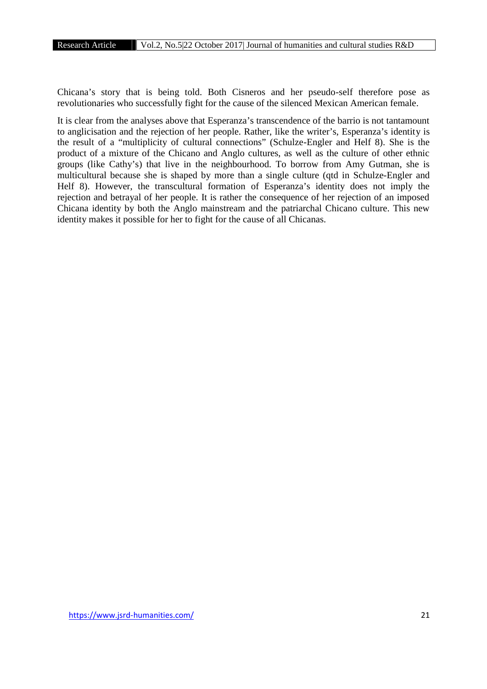Chicana's story that is being told. Both Cisneros and her pseudo-self therefore pose as revolutionaries who successfully fight for the cause of the silenced Mexican American female.

It is clear from the analyses above that Esperanza's transcendence of the barrio is not tantamount to anglicisation and the rejection of her people. Rather, like the writer's, Esperanza's identity is the result of a "multiplicity of cultural connections" (Schulze-Engler and Helf 8). She is the product of a mixture of the Chicano and Anglo cultures, as well as the culture of other ethnic groups (like Cathy's) that live in the neighbourhood. To borrow from Amy Gutman, she is multicultural because she is shaped by more than a single culture (qtd in Schulze-Engler and Helf 8). However, the transcultural formation of Esperanza's identity does not imply the rejection and betrayal of her people. It is rather the consequence of her rejection of an imposed Chicana identity by both the Anglo mainstream and the patriarchal Chicano culture. This new identity makes it possible for her to fight for the cause of all Chicanas.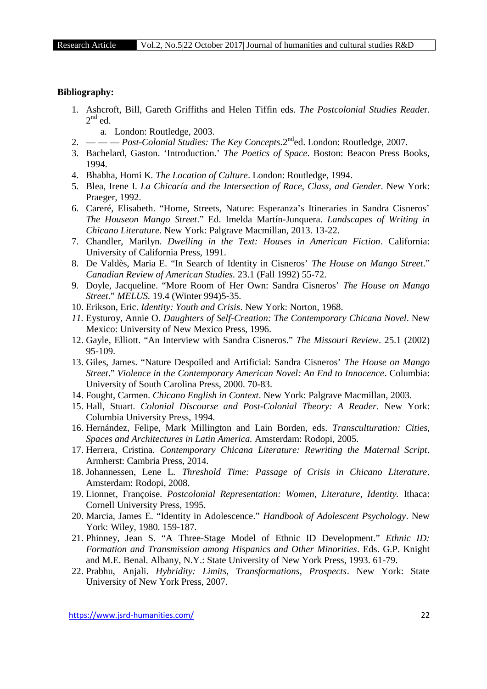### **Bibliography:**

- 1. Ashcroft, Bill, Gareth Griffiths and Helen Tiffin eds. *The Postcolonial Studies Reade*r.  $2<sup>nd</sup>$  ed.
	- a. London: Routledge, 2003.
- 2. *Post-Colonial Studies: The Key Concepts*.2<sup>nd</sup>ed. London: Routledge, 2007.
- 3. Bachelard, Gaston. 'Introduction.' *The Poetics of Space*. Boston: Beacon Press Books, 1994.
- 4. Bhabha, Homi K*. The Location of Culture*. London: Routledge, 1994.
- 5. Blea, Irene I. *La Chicaría and the Intersection of Race, Class, and Gender*. New York: Praeger, 1992.
- 6. Careré, Elisabeth. "Home, Streets, Nature: Esperanza's Itineraries in Sandra Cisneros' *The Houseon Mango Street*." Ed. Imelda Martín-Junquera. *Landscapes of Writing in Chicano Literature*. New York: Palgrave Macmillan, 2013. 13-22.
- 7. Chandler, Marilyn. *Dwelling in the Text: Houses in American Fiction*. California: University of California Press, 1991.
- 8. De Valdès, Maria E. "In Search of Identity in Cisneros' *The House on Mango Street*." *Canadian Review of American Studies.* 23.1 (Fall 1992) 55-72.
- 9. Doyle, Jacqueline. "More Room of Her Own: Sandra Cisneros' *The House on Mango Street*." *MELUS.* 19.4 (Winter 994)5-35.
- 10. Erikson, Eric. *Identity: Youth and Crisis*. New York: Norton, 1968.
- *11.* Eysturoy, Annie O. *Daughters of Self-Creation: The Contemporary Chicana Novel*. New Mexico: University of New Mexico Press, 1996.
- 12. Gayle, Elliott. "An Interview with Sandra Cisneros." *The Missouri Review*. 25.1 (2002) 95-109.
- 13. Giles, James. "Nature Despoiled and Artificial: Sandra Cisneros' *The House on Mango Street*." *Violence in the Contemporary American Novel: An End to Innocence*. Columbia: University of South Carolina Press, 2000. 70-83.
- 14. Fought, Carmen. *Chicano English in Context*. New York: Palgrave Macmillan, 2003.
- 15. Hall, Stuart. *Colonial Discourse and Post-Colonial Theory: A Reader*. New York: Columbia University Press, 1994.
- 16. Hernández, Felipe, Mark Millington and Lain Borden, eds. *Transculturation: Cities, Spaces and Architectures in Latin America.* Amsterdam: Rodopi, 2005.
- 17. Herrera, Cristina. *Contemporary Chicana Literature: Rewriting the Maternal Script*. Armherst: Cambria Press, 2014.
- 18. Johannessen, Lene L*. Threshold Time: Passage of Crisis in Chicano Literature*. Amsterdam: Rodopi, 2008.
- 19. Lionnet, Françoise. *Postcolonial Representation: Women, Literature, Identity.* Ithaca: Cornell University Press, 1995.
- 20. Marcia, James E. "Identity in Adolescence." *Handbook of Adolescent Psychology*. New York: Wiley, 1980. 159-187.
- 21. Phinney, Jean S. "A Three-Stage Model of Ethnic ID Development." *Ethnic ID: Formation and Transmission among Hispanics and Other Minorities*. Eds. G.P. Knight and M.E. Benal. Albany, N.Y.: State University of New York Press, 1993. 61-79.
- 22. Prabhu, Anjali. *Hybridity: Limits, Transformations, Prospects*. New York: State University of New York Press, 2007.